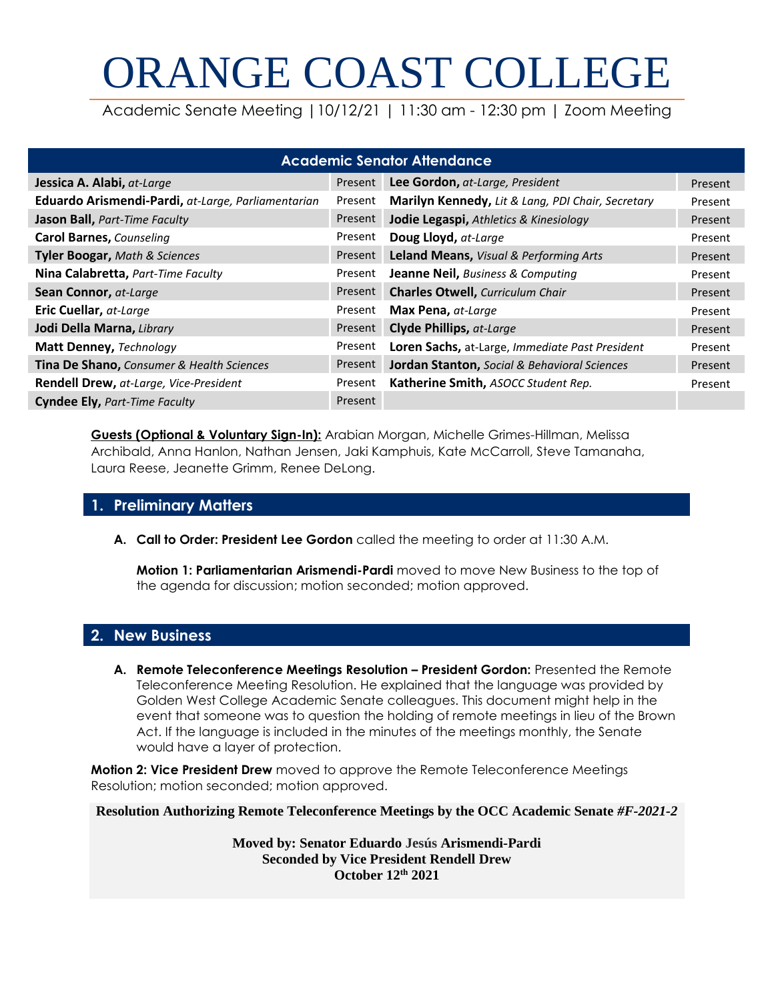# ORANGE COAST COLLEGE

Academic Senate Meeting |10/12/21 | 11:30 am - 12:30 pm | Zoom Meeting

| <b>Academic Senator Attendance</b>                 |         |                                                         |         |  |  |  |  |  |
|----------------------------------------------------|---------|---------------------------------------------------------|---------|--|--|--|--|--|
| Jessica A. Alabi, at-Large                         | Present | Lee Gordon, at-Large, President                         | Present |  |  |  |  |  |
| Eduardo Arismendi-Pardi, at-Large, Parliamentarian | Present | Marilyn Kennedy, Lit & Lang, PDI Chair, Secretary       | Present |  |  |  |  |  |
| Jason Ball, Part-Time Faculty                      | Present | Jodie Legaspi, Athletics & Kinesiology                  | Present |  |  |  |  |  |
| <b>Carol Barnes, Counseling</b>                    | Present | Doug Lloyd, at-Large                                    | Present |  |  |  |  |  |
| Tyler Boogar, Math & Sciences                      | Present | Leland Means, Visual & Performing Arts                  | Present |  |  |  |  |  |
| Nina Calabretta, Part-Time Faculty                 | Present | <b>Jeanne Neil, Business &amp; Computing</b>            | Present |  |  |  |  |  |
| Sean Connor, at-Large                              | Present | <b>Charles Otwell, Curriculum Chair</b>                 | Present |  |  |  |  |  |
| Eric Cuellar, at-Large                             | Present | Max Pena, at-Large                                      | Present |  |  |  |  |  |
| Jodi Della Marna, Library                          | Present | Clyde Phillips, at-Large                                | Present |  |  |  |  |  |
| Matt Denney, Technology                            | Present | Loren Sachs, at-Large, Immediate Past President         | Present |  |  |  |  |  |
| Tina De Shano, Consumer & Health Sciences          | Present | <b>Jordan Stanton, Social &amp; Behavioral Sciences</b> | Present |  |  |  |  |  |
| Rendell Drew, at-Large, Vice-President             | Present | Katherine Smith, ASOCC Student Rep.                     | Present |  |  |  |  |  |
| <b>Cyndee Ely, Part-Time Faculty</b>               | Present |                                                         |         |  |  |  |  |  |

**Guests (Optional & Voluntary Sign-In):** Arabian Morgan, Michelle Grimes-Hillman, Melissa Archibald, Anna Hanlon, Nathan Jensen, Jaki Kamphuis, Kate McCarroll, Steve Tamanaha, Laura Reese, Jeanette Grimm, Renee DeLong.

# **1. Preliminary Matters**

**A. Call to Order: President Lee Gordon** called the meeting to order at 11:30 A.M.

**Motion 1: Parliamentarian Arismendi-Pardi** moved to move New Business to the top of the agenda for discussion; motion seconded; motion approved.

# **2. New Business**

**A. Remote Teleconference Meetings Resolution – President Gordon:** Presented the Remote Teleconference Meeting Resolution. He explained that the language was provided by Golden West College Academic Senate colleagues. This document might help in the event that someone was to question the holding of remote meetings in lieu of the Brown Act. If the language is included in the minutes of the meetings monthly, the Senate would have a layer of protection.

**Motion 2: Vice President Drew** moved to approve the Remote Teleconference Meetings Resolution; motion seconded; motion approved.

**Resolution Authorizing Remote Teleconference Meetings by the OCC Academic Senate** *#F-2021-2*

**Moved by: Senator Eduardo Jesús Arismendi-Pardi Seconded by Vice President Rendell Drew October 12th 2021**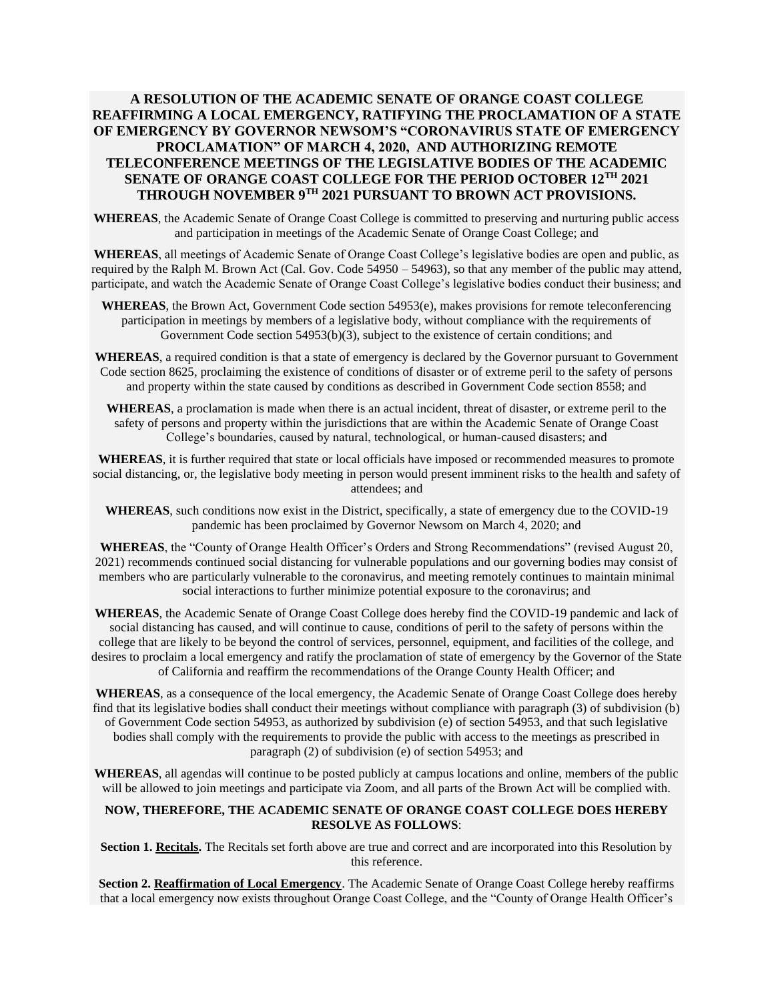#### **A RESOLUTION OF THE ACADEMIC SENATE OF ORANGE COAST COLLEGE REAFFIRMING A LOCAL EMERGENCY, RATIFYING THE PROCLAMATION OF A STATE OF EMERGENCY BY GOVERNOR NEWSOM'S "CORONAVIRUS STATE OF EMERGENCY PROCLAMATION" OF MARCH 4, 2020, AND AUTHORIZING REMOTE TELECONFERENCE MEETINGS OF THE LEGISLATIVE BODIES OF THE ACADEMIC SENATE OF ORANGE COAST COLLEGE FOR THE PERIOD OCTOBER 12TH 2021 THROUGH NOVEMBER 9TH 2021 PURSUANT TO BROWN ACT PROVISIONS.**

**WHEREAS**, the Academic Senate of Orange Coast College is committed to preserving and nurturing public access and participation in meetings of the Academic Senate of Orange Coast College; and

**WHEREAS**, all meetings of Academic Senate of Orange Coast College's legislative bodies are open and public, as required by the Ralph M. Brown Act (Cal. Gov. Code 54950 – 54963), so that any member of the public may attend, participate, and watch the Academic Senate of Orange Coast College's legislative bodies conduct their business; and

**WHEREAS**, the Brown Act, Government Code section 54953(e), makes provisions for remote teleconferencing participation in meetings by members of a legislative body, without compliance with the requirements of Government Code section 54953(b)(3), subject to the existence of certain conditions; and

**WHEREAS**, a required condition is that a state of emergency is declared by the Governor pursuant to Government Code section 8625, proclaiming the existence of conditions of disaster or of extreme peril to the safety of persons and property within the state caused by conditions as described in Government Code section 8558; and

**WHEREAS**, a proclamation is made when there is an actual incident, threat of disaster, or extreme peril to the safety of persons and property within the jurisdictions that are within the Academic Senate of Orange Coast College's boundaries, caused by natural, technological, or human-caused disasters; and

**WHEREAS**, it is further required that state or local officials have imposed or recommended measures to promote social distancing, or, the legislative body meeting in person would present imminent risks to the health and safety of attendees; and

**WHEREAS**, such conditions now exist in the District, specifically, a state of emergency due to the COVID-19 pandemic has been proclaimed by Governor Newsom on March 4, 2020; and

**WHEREAS**, the "County of Orange Health Officer's Orders and Strong Recommendations" (revised August 20, 2021) recommends continued social distancing for vulnerable populations and our governing bodies may consist of members who are particularly vulnerable to the coronavirus, and meeting remotely continues to maintain minimal social interactions to further minimize potential exposure to the coronavirus; and

**WHEREAS**, the Academic Senate of Orange Coast College does hereby find the COVID-19 pandemic and lack of social distancing has caused, and will continue to cause, conditions of peril to the safety of persons within the college that are likely to be beyond the control of services, personnel, equipment, and facilities of the college, and desires to proclaim a local emergency and ratify the proclamation of state of emergency by the Governor of the State of California and reaffirm the recommendations of the Orange County Health Officer; and

**WHEREAS**, as a consequence of the local emergency, the Academic Senate of Orange Coast College does hereby find that its legislative bodies shall conduct their meetings without compliance with paragraph (3) of subdivision (b) of Government Code section 54953, as authorized by subdivision (e) of section 54953, and that such legislative bodies shall comply with the requirements to provide the public with access to the meetings as prescribed in paragraph (2) of subdivision (e) of section 54953; and

**WHEREAS**, all agendas will continue to be posted publicly at campus locations and online, members of the public will be allowed to join meetings and participate via Zoom, and all parts of the Brown Act will be complied with.

#### **NOW, THEREFORE, THE ACADEMIC SENATE OF ORANGE COAST COLLEGE DOES HEREBY RESOLVE AS FOLLOWS**:

**Section 1. Recitals.** The Recitals set forth above are true and correct and are incorporated into this Resolution by this reference.

**Section 2. Reaffirmation of Local Emergency**. The Academic Senate of Orange Coast College hereby reaffirms that a local emergency now exists throughout Orange Coast College, and the "County of Orange Health Officer's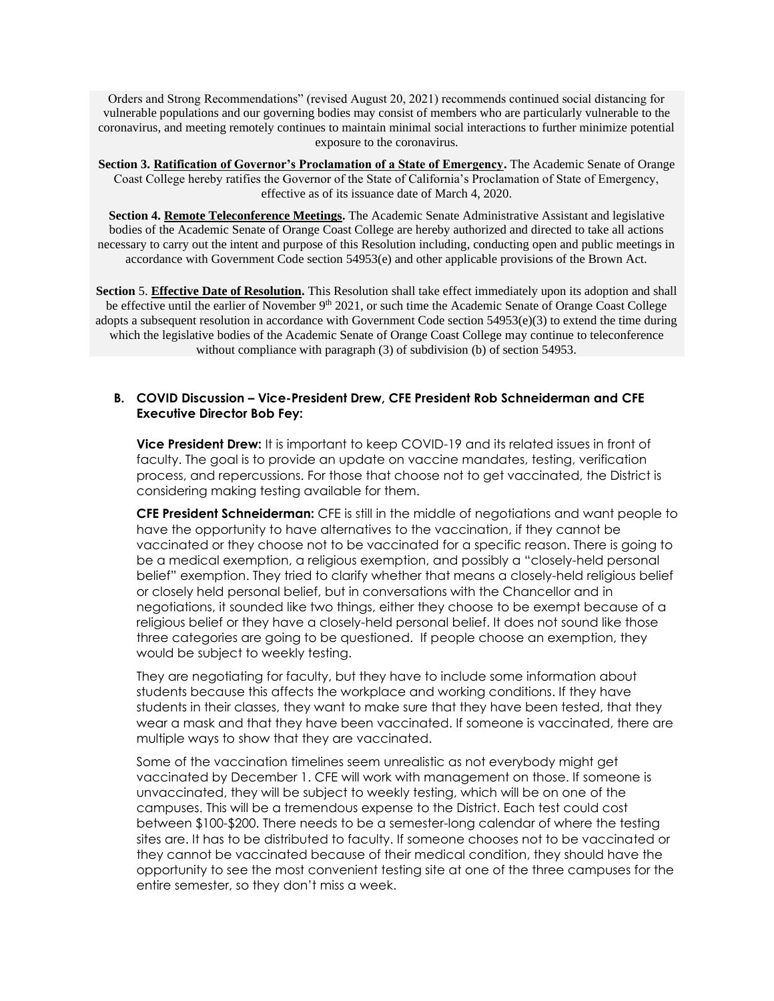Orders and Strong Recommendations" (revised August 20, 2021) recommends continued social distancing for vulnerable populations and our governing bodies may consist of members who are particularly vulnerable to the coronavirus, and meeting remotely continues to maintain minimal social interactions to further minimize potential exposure to the coronavirus.

**Section 3. Ratification of Governor's Proclamation of a State of Emergency.** The Academic Senate of Orange Coast College hereby ratifies the Governor of the State of California's Proclamation of State of Emergency, effective as of its issuance date of March 4, 2020.

**Section 4. Remote Teleconference Meetings.** The Academic Senate Administrative Assistant and legislative bodies of the Academic Senate of Orange Coast College are hereby authorized and directed to take all actions necessary to carry out the intent and purpose of this Resolution including, conducting open and public meetings in accordance with Government Code section 54953(e) and other applicable provisions of the Brown Act.

**Section** 5. **Effective Date of Resolution.** This Resolution shall take effect immediately upon its adoption and shall be effective until the earlier of November 9<sup>th</sup> 2021, or such time the Academic Senate of Orange Coast College adopts a subsequent resolution in accordance with Government Code section 54953(e)(3) to extend the time during which the legislative bodies of the Academic Senate of Orange Coast College may continue to teleconference without compliance with paragraph (3) of subdivision (b) of section 54953.

#### **B. COVID Discussion – Vice-President Drew, CFE President Rob Schneiderman and CFE Executive Director Bob Fey:**

**Vice President Drew:** It is important to keep COVID-19 and its related issues in front of faculty. The goal is to provide an update on vaccine mandates, testing, verification process, and repercussions. For those that choose not to get vaccinated, the District is considering making testing available for them.

**CFE President Schneiderman:** CFE is still in the middle of negotiations and want people to have the opportunity to have alternatives to the vaccination, if they cannot be vaccinated or they choose not to be vaccinated for a specific reason. There is going to be a medical exemption, a religious exemption, and possibly a "closely-held personal belief" exemption. They tried to clarify whether that means a closely-held religious belief or closely held personal belief, but in conversations with the Chancellor and in negotiations, it sounded like two things, either they choose to be exempt because of a religious belief or they have a closely-held personal belief. It does not sound like those three categories are going to be questioned. If people choose an exemption, they would be subject to weekly testing.

They are negotiating for faculty, but they have to include some information about students because this affects the workplace and working conditions. If they have students in their classes, they want to make sure that they have been tested, that they wear a mask and that they have been vaccinated. If someone is vaccinated, there are multiple ways to show that they are vaccinated.

Some of the vaccination timelines seem unrealistic as not everybody might get vaccinated by December 1. CFE will work with management on those. If someone is unvaccinated, they will be subject to weekly testing, which will be on one of the campuses. This will be a tremendous expense to the District. Each test could cost between \$100-\$200. There needs to be a semester-long calendar of where the testing sites are. It has to be distributed to faculty. If someone chooses not to be vaccinated or they cannot be vaccinated because of their medical condition, they should have the opportunity to see the most convenient testing site at one of the three campuses for the entire semester, so they don't miss a week.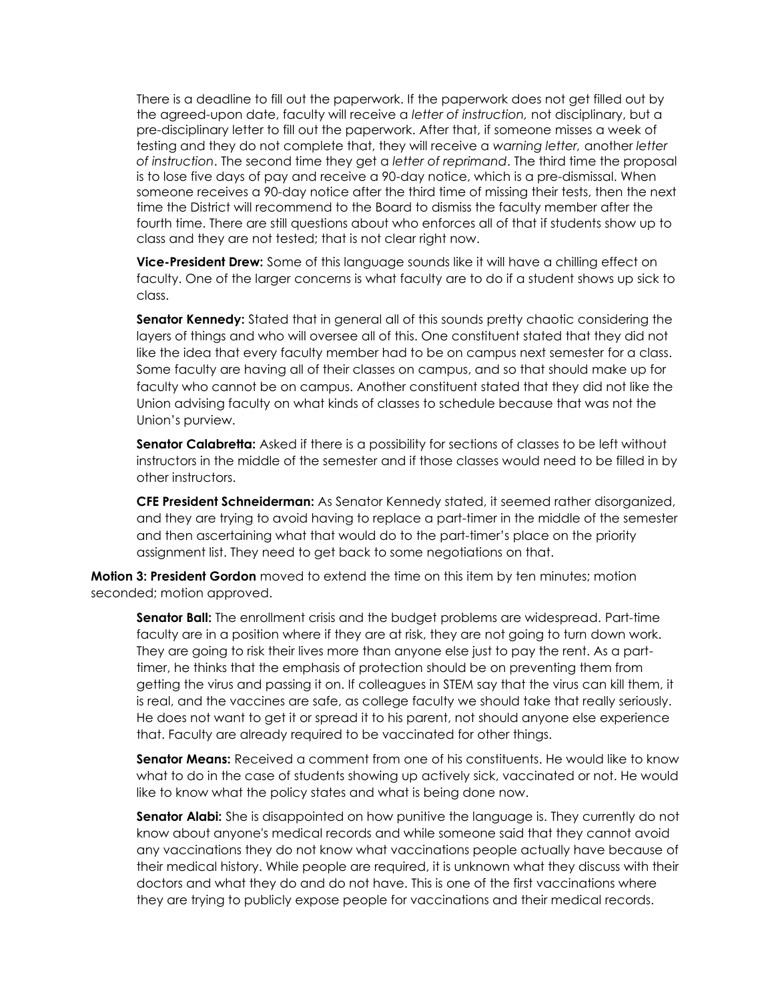There is a deadline to fill out the paperwork. If the paperwork does not get filled out by the agreed-upon date, faculty will receive a *letter of instruction,* not disciplinary, but a pre-disciplinary letter to fill out the paperwork. After that, if someone misses a week of testing and they do not complete that, they will receive a *warning letter,* another *letter of instruction*. The second time they get a *letter of reprimand*. The third time the proposal is to lose five days of pay and receive a 90-day notice, which is a pre-dismissal. When someone receives a 90-day notice after the third time of missing their tests, then the next time the District will recommend to the Board to dismiss the faculty member after the fourth time. There are still questions about who enforces all of that if students show up to class and they are not tested; that is not clear right now.

**Vice-President Drew:** Some of this language sounds like it will have a chilling effect on faculty. One of the larger concerns is what faculty are to do if a student shows up sick to class.

**Senator Kennedy:** Stated that in general all of this sounds pretty chaotic considering the layers of things and who will oversee all of this. One constituent stated that they did not like the idea that every faculty member had to be on campus next semester for a class. Some faculty are having all of their classes on campus, and so that should make up for faculty who cannot be on campus. Another constituent stated that they did not like the Union advising faculty on what kinds of classes to schedule because that was not the Union's purview.

**Senator Calabretta:** Asked if there is a possibility for sections of classes to be left without instructors in the middle of the semester and if those classes would need to be filled in by other instructors.

**CFE President Schneiderman:** As Senator Kennedy stated, it seemed rather disorganized, and they are trying to avoid having to replace a part-timer in the middle of the semester and then ascertaining what that would do to the part-timer's place on the priority assignment list. They need to get back to some negotiations on that.

**Motion 3: President Gordon** moved to extend the time on this item by ten minutes; motion seconded; motion approved.

**Senator Ball:** The enrollment crisis and the budget problems are widespread. Part-time faculty are in a position where if they are at risk, they are not going to turn down work. They are going to risk their lives more than anyone else just to pay the rent. As a parttimer, he thinks that the emphasis of protection should be on preventing them from getting the virus and passing it on. If colleagues in STEM say that the virus can kill them, it is real, and the vaccines are safe, as college faculty we should take that really seriously. He does not want to get it or spread it to his parent, not should anyone else experience that. Faculty are already required to be vaccinated for other things.

**Senator Means:** Received a comment from one of his constituents. He would like to know what to do in the case of students showing up actively sick, vaccinated or not. He would like to know what the policy states and what is being done now.

**Senator Alabi:** She is disappointed on how punitive the language is. They currently do not know about anyone's medical records and while someone said that they cannot avoid any vaccinations they do not know what vaccinations people actually have because of their medical history. While people are required, it is unknown what they discuss with their doctors and what they do and do not have. This is one of the first vaccinations where they are trying to publicly expose people for vaccinations and their medical records.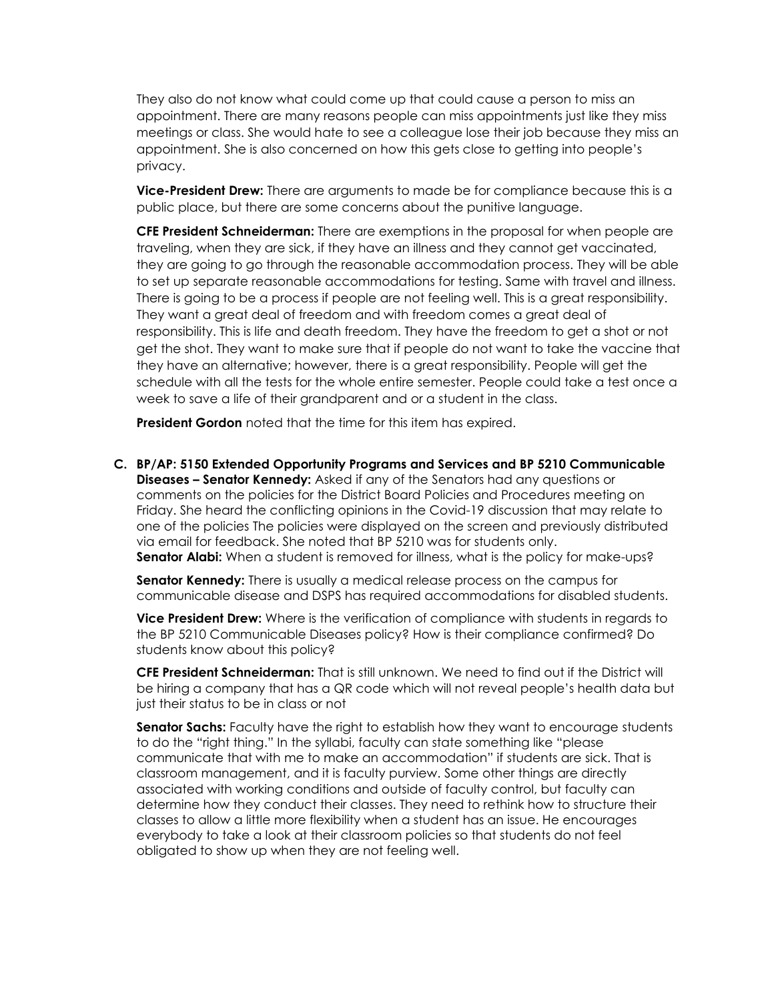They also do not know what could come up that could cause a person to miss an appointment. There are many reasons people can miss appointments just like they miss meetings or class. She would hate to see a colleague lose their job because they miss an appointment. She is also concerned on how this gets close to getting into people's privacy.

**Vice-President Drew:** There are arguments to made be for compliance because this is a public place, but there are some concerns about the punitive language.

**CFE President Schneiderman:** There are exemptions in the proposal for when people are traveling, when they are sick, if they have an illness and they cannot get vaccinated, they are going to go through the reasonable accommodation process. They will be able to set up separate reasonable accommodations for testing. Same with travel and illness. There is going to be a process if people are not feeling well. This is a great responsibility. They want a great deal of freedom and with freedom comes a great deal of responsibility. This is life and death freedom. They have the freedom to get a shot or not get the shot. They want to make sure that if people do not want to take the vaccine that they have an alternative; however, there is a great responsibility. People will get the schedule with all the tests for the whole entire semester. People could take a test once a week to save a life of their grandparent and or a student in the class.

**President Gordon** noted that the time for this item has expired.

**C. BP/AP: 5150 Extended Opportunity Programs and Services and BP 5210 Communicable Diseases – Senator Kennedy:** Asked if any of the Senators had any questions or comments on the policies for the District Board Policies and Procedures meeting on Friday. She heard the conflicting opinions in the Covid-19 discussion that may relate to one of the policies The policies were displayed on the screen and previously distributed via email for feedback. She noted that BP 5210 was for students only. **Senator Alabi:** When a student is removed for illness, what is the policy for make-ups?

**Senator Kennedy:** There is usually a medical release process on the campus for communicable disease and DSPS has required accommodations for disabled students.

**Vice President Drew:** Where is the verification of compliance with students in regards to the BP 5210 Communicable Diseases policy? How is their compliance confirmed? Do students know about this policy?

**CFE President Schneiderman:** That is still unknown. We need to find out if the District will be hiring a company that has a QR code which will not reveal people's health data but just their status to be in class or not

**Senator Sachs:** Faculty have the right to establish how they want to encourage students to do the "right thing." In the syllabi, faculty can state something like "please communicate that with me to make an accommodation" if students are sick. That is classroom management, and it is faculty purview. Some other things are directly associated with working conditions and outside of faculty control, but faculty can determine how they conduct their classes. They need to rethink how to structure their classes to allow a little more flexibility when a student has an issue. He encourages everybody to take a look at their classroom policies so that students do not feel obligated to show up when they are not feeling well.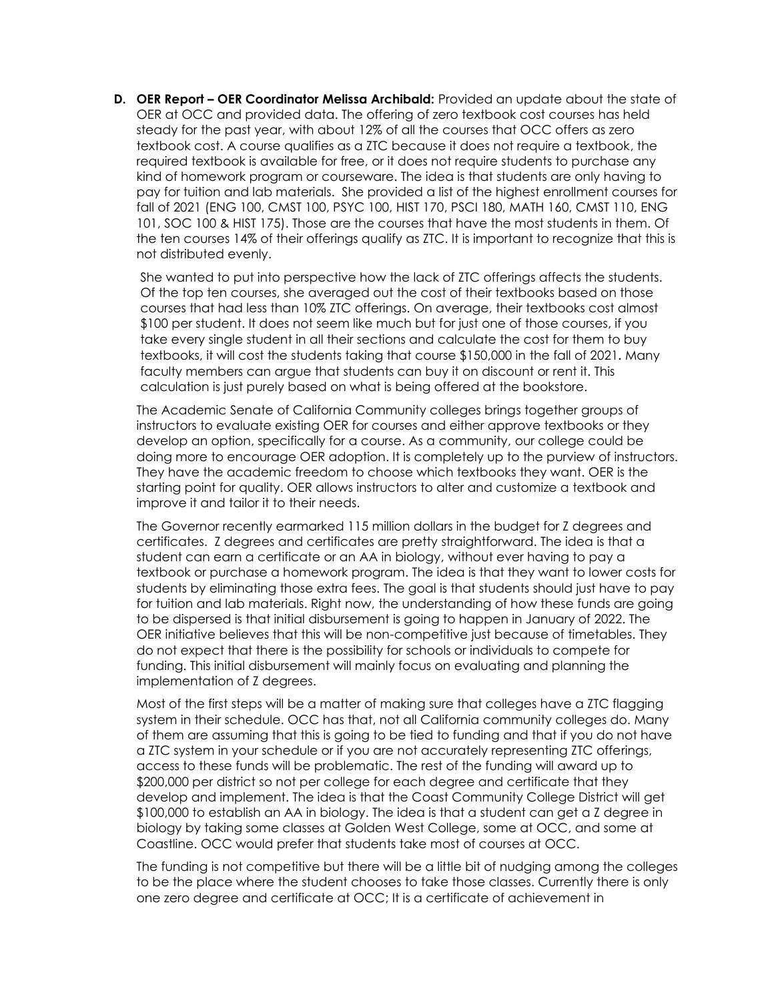**D.** OER Report – OER Coordinator Melissa Archibald: Provided an update about the state of OER at OCC and provided data. The offering of zero textbook cost courses has held steady for the past year, with about 12% of all the courses that OCC offers as zero textbook cost. A course qualifies as a ZTC because it does not require a textbook, the required textbook is available for free, or it does not require students to purchase any kind of homework program or courseware. The idea is that students are only having to pay for tuition and lab materials. She provided a list of the highest enrollment courses for fall of 2021 (ENG 100, CMST 100, PSYC 100, HIST 170, PSCI 180, MATH 160, CMST 110, ENG 101, SOC 100 & HIST 175). Those are the courses that have the most students in them. Of the ten courses 14% of their offerings qualify as ZTC. It is important to recognize that this is not distributed evenly.

She wanted to put into perspective how the lack of ZTC offerings affects the students. Of the top ten courses, she averaged out the cost of their textbooks based on those courses that had less than 10% ZTC offerings. On average, their textbooks cost almost \$100 per student. It does not seem like much but for just one of those courses, if you take every single student in all their sections and calculate the cost for them to buy textbooks, it will cost the students taking that course \$150,000 in the fall of 2021. Many faculty members can argue that students can buy it on discount or rent it. This calculation is just purely based on what is being offered at the bookstore.

The Academic Senate of California Community colleges brings together groups of instructors to evaluate existing OER for courses and either approve textbooks or they develop an option, specifically for a course. As a community, our college could be doing more to encourage OER adoption. It is completely up to the purview of instructors. They have the academic freedom to choose which textbooks they want. OER is the starting point for quality. OER allows instructors to alter and customize a textbook and improve it and tailor it to their needs.

The Governor recently earmarked 115 million dollars in the budget for Z degrees and certificates. Z degrees and certificates are pretty straightforward. The idea is that a student can earn a certificate or an AA in biology, without ever having to pay a textbook or purchase a homework program. The idea is that they want to lower costs for students by eliminating those extra fees. The goal is that students should just have to pay for tuition and lab materials. Right now, the understanding of how these funds are going to be dispersed is that initial disbursement is going to happen in January of 2022. The OER initiative believes that this will be non-competitive just because of timetables. They do not expect that there is the possibility for schools or individuals to compete for funding. This initial disbursement will mainly focus on evaluating and planning the implementation of Z degrees.

Most of the first steps will be a matter of making sure that colleges have a ZTC flagging system in their schedule. OCC has that, not all California community colleges do. Many of them are assuming that this is going to be tied to funding and that if you do not have a ZTC system in your schedule or if you are not accurately representing ZTC offerings, access to these funds will be problematic. The rest of the funding will award up to \$200,000 per district so not per college for each degree and certificate that they develop and implement. The idea is that the Coast Community College District will get \$100,000 to establish an AA in biology. The idea is that a student can get a Z degree in biology by taking some classes at Golden West College, some at OCC, and some at Coastline. OCC would prefer that students take most of courses at OCC.

The funding is not competitive but there will be a little bit of nudging among the colleges to be the place where the student chooses to take those classes. Currently there is only one zero degree and certificate at OCC; It is a certificate of achievement in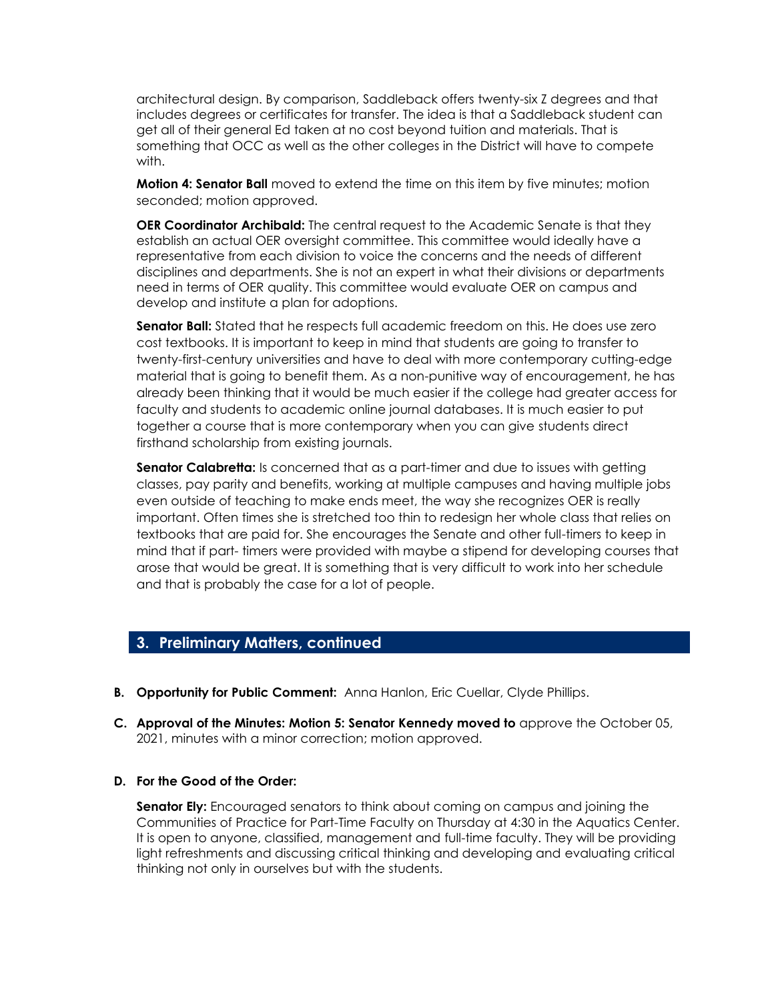architectural design. By comparison, Saddleback offers twenty-six Z degrees and that includes degrees or certificates for transfer. The idea is that a Saddleback student can get all of their general Ed taken at no cost beyond tuition and materials. That is something that OCC as well as the other colleges in the District will have to compete with.

**Motion 4: Senator Ball** moved to extend the time on this item by five minutes; motion seconded; motion approved.

**OER Coordinator Archibald:** The central request to the Academic Senate is that they establish an actual OER oversight committee. This committee would ideally have a representative from each division to voice the concerns and the needs of different disciplines and departments. She is not an expert in what their divisions or departments need in terms of OER quality. This committee would evaluate OER on campus and develop and institute a plan for adoptions.

**Senator Ball:** Stated that he respects full academic freedom on this. He does use zero cost textbooks. It is important to keep in mind that students are going to transfer to twenty-first-century universities and have to deal with more contemporary cutting-edge material that is going to benefit them. As a non-punitive way of encouragement, he has already been thinking that it would be much easier if the college had greater access for faculty and students to academic online journal databases. It is much easier to put together a course that is more contemporary when you can give students direct firsthand scholarship from existing journals.

**Senator Calabretta:** Is concerned that as a part-timer and due to issues with getting classes, pay parity and benefits, working at multiple campuses and having multiple jobs even outside of teaching to make ends meet, the way she recognizes OER is really important. Often times she is stretched too thin to redesign her whole class that relies on textbooks that are paid for. She encourages the Senate and other full-timers to keep in mind that if part- timers were provided with maybe a stipend for developing courses that arose that would be great. It is something that is very difficult to work into her schedule and that is probably the case for a lot of people.

## **3. Preliminary Matters, continued**

- **B. Opportunity for Public Comment:** Anna Hanlon, Eric Cuellar, Clyde Phillips.
- **C. Approval of the Minutes: Motion 5: Senator Kennedy moved to** approve the October 05, 2021, minutes with a minor correction; motion approved.

#### **D. For the Good of the Order:**

**Senator Ely:** Encouraged senators to think about coming on campus and joining the Communities of Practice for Part-Time Faculty on Thursday at 4:30 in the Aquatics Center. It is open to anyone, classified, management and full-time faculty. They will be providing light refreshments and discussing critical thinking and developing and evaluating critical thinking not only in ourselves but with the students.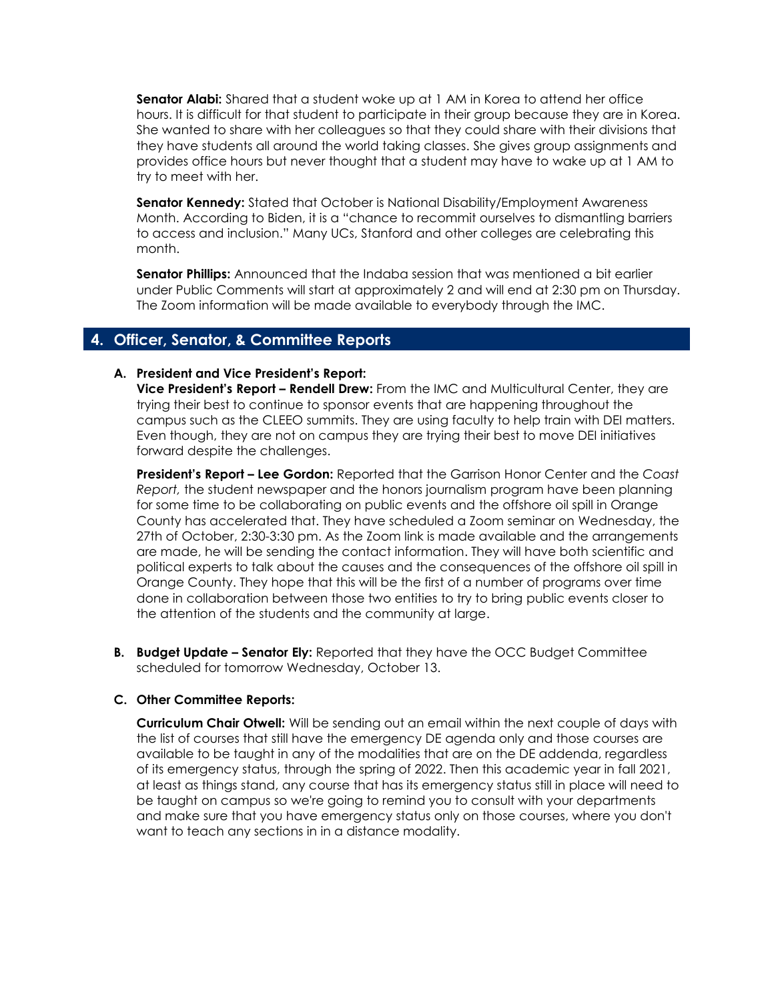**Senator Alabi:** Shared that a student woke up at 1 AM in Korea to attend her office hours. It is difficult for that student to participate in their group because they are in Korea. She wanted to share with her colleagues so that they could share with their divisions that they have students all around the world taking classes. She gives group assignments and provides office hours but never thought that a student may have to wake up at 1 AM to try to meet with her.

**Senator Kennedy:** Stated that October is National Disability/Employment Awareness Month. According to Biden, it is a "chance to recommit ourselves to dismantling barriers to access and inclusion." Many UCs, Stanford and other colleges are celebrating this month.

**Senator Phillips:** Announced that the Indaba session that was mentioned a bit earlier under Public Comments will start at approximately 2 and will end at 2:30 pm on Thursday. The Zoom information will be made available to everybody through the IMC.

#### **4. Officer, Senator, & Committee Reports**

#### **A. President and Vice President's Report:**

**Vice President's Report – Rendell Drew:** From the IMC and Multicultural Center, they are trying their best to continue to sponsor events that are happening throughout the campus such as the CLEEO summits. They are using faculty to help train with DEI matters. Even though, they are not on campus they are trying their best to move DEI initiatives forward despite the challenges.

**President's Report – Lee Gordon:** Reported that the Garrison Honor Center and the *Coast Report,* the student newspaper and the honors journalism program have been planning for some time to be collaborating on public events and the offshore oil spill in Orange County has accelerated that. They have scheduled a Zoom seminar on Wednesday, the 27th of October, 2:30-3:30 pm. As the Zoom link is made available and the arrangements are made, he will be sending the contact information. They will have both scientific and political experts to talk about the causes and the consequences of the offshore oil spill in Orange County. They hope that this will be the first of a number of programs over time done in collaboration between those two entities to try to bring public events closer to the attention of the students and the community at large.

**B. Budget Update – Senator Ely:** Reported that they have the OCC Budget Committee scheduled for tomorrow Wednesday, October 13.

#### **C. Other Committee Reports:**

**Curriculum Chair Otwell:** Will be sending out an email within the next couple of days with the list of courses that still have the emergency DE agenda only and those courses are available to be taught in any of the modalities that are on the DE addenda, regardless of its emergency status, through the spring of 2022. Then this academic year in fall 2021, at least as things stand, any course that has its emergency status still in place will need to be taught on campus so we're going to remind you to consult with your departments and make sure that you have emergency status only on those courses, where you don't want to teach any sections in in a distance modality.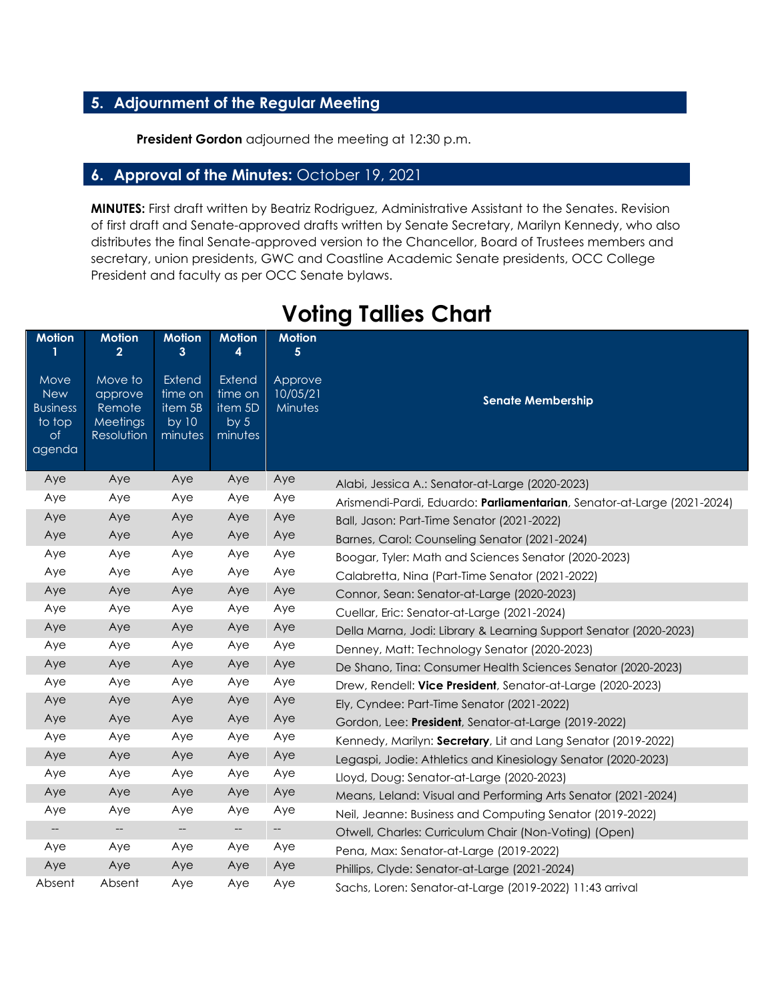# **5. Adjournment of the Regular Meeting**

**President Gordon** adjourned the meeting at 12:30 p.m.

### **6. Approval of the Minutes:** October 19, 2021

**MINUTES:** First draft written by Beatriz Rodriguez, Administrative Assistant to the Senates. Revision of first draft and Senate-approved drafts written by Senate Secretary, Marilyn Kennedy, who also distributes the final Senate-approved version to the Chancellor, Board of Trustees members and secretary, union presidents, GWC and Coastline Academic Senate presidents, OCC College President and faculty as per OCC Senate bylaws.

| <b>Motion</b>                                                   | <b>Motion</b><br>$\overline{2}$                               | <b>Motion</b><br>3                               | <b>Motion</b><br>4                                  | <b>Motion</b><br>5             |                                                                         |
|-----------------------------------------------------------------|---------------------------------------------------------------|--------------------------------------------------|-----------------------------------------------------|--------------------------------|-------------------------------------------------------------------------|
| Move<br><b>New</b><br><b>Business</b><br>to top<br>of<br>agenda | Move to<br>approve<br>Remote<br><b>Meetings</b><br>Resolution | Extend<br>time on<br>item 5B<br>by 10<br>minutes | Extend<br>time on<br>item 5D<br>by $5$<br>minutes   | Approve<br>10/05/21<br>Minutes | <b>Senate Membership</b>                                                |
| Aye                                                             | Aye                                                           | Aye                                              | Aye                                                 | Aye                            | Alabi, Jessica A.: Senator-at-Large (2020-2023)                         |
| Aye                                                             | Aye                                                           | Aye                                              | Aye                                                 | Aye                            | Arismendi-Pardi, Eduardo: Parliamentarian, Senator-at-Large (2021-2024) |
| Aye                                                             | Aye                                                           | Aye                                              | Aye                                                 | Aye                            | Ball, Jason: Part-Time Senator (2021-2022)                              |
| Aye                                                             | Aye                                                           | Aye                                              | Aye                                                 | Aye                            | Barnes, Carol: Counseling Senator (2021-2024)                           |
| Aye                                                             | Aye                                                           | Aye                                              | Aye                                                 | Aye                            | Boogar, Tyler: Math and Sciences Senator (2020-2023)                    |
| Aye                                                             | Aye                                                           | Aye                                              | Aye                                                 | Aye                            | Calabretta, Nina (Part-Time Senator (2021-2022)                         |
| Aye                                                             | Aye                                                           | Aye                                              | Aye                                                 | Aye                            | Connor, Sean: Senator-at-Large (2020-2023)                              |
| Aye                                                             | Aye                                                           | Aye                                              | Aye                                                 | Aye                            | Cuellar, Eric: Senator-at-Large (2021-2024)                             |
| Aye                                                             | Aye                                                           | Aye                                              | Aye                                                 | Aye                            | Della Marna, Jodi: Library & Learning Support Senator (2020-2023)       |
| Aye                                                             | Aye                                                           | Aye                                              | Aye                                                 | Aye                            | Denney, Matt: Technology Senator (2020-2023)                            |
| Aye                                                             | Aye                                                           | Aye                                              | Aye                                                 | Aye                            | De Shano, Tina: Consumer Health Sciences Senator (2020-2023)            |
| Aye                                                             | Aye                                                           | Aye                                              | Aye                                                 | Aye                            | Drew, Rendell: Vice President, Senator-at-Large (2020-2023)             |
| Aye                                                             | Aye                                                           | Aye                                              | Aye                                                 | Aye                            | Ely, Cyndee: Part-Time Senator (2021-2022)                              |
| Aye                                                             | Aye                                                           | Aye                                              | Aye                                                 | Aye                            | Gordon, Lee: President, Senator-at-Large (2019-2022)                    |
| Aye                                                             | Aye                                                           | Aye                                              | Aye                                                 | Aye                            | Kennedy, Marilyn: Secretary, Lit and Lang Senator (2019-2022)           |
| Aye                                                             | Aye                                                           | Aye                                              | Aye                                                 | Aye                            | Legaspi, Jodie: Athletics and Kinesiology Senator (2020-2023)           |
| Aye                                                             | Aye                                                           | Aye                                              | Aye                                                 | Aye                            | Lloyd, Doug: Senator-at-Large (2020-2023)                               |
| Aye                                                             | Aye                                                           | Aye                                              | Aye                                                 | Aye                            | Means, Leland: Visual and Performing Arts Senator (2021-2024)           |
| Aye                                                             | Aye                                                           | Aye                                              | Aye                                                 | Aye                            | Neil, Jeanne: Business and Computing Senator (2019-2022)                |
| $\overline{\phantom{a}}$                                        | $\overline{\phantom{a}}$                                      | $\overline{\phantom{a}}$                         | $\hspace{0.05cm} -\hspace{0.05cm} -\hspace{0.05cm}$ | $-\!$                          | Otwell, Charles: Curriculum Chair (Non-Voting) (Open)                   |
| Aye                                                             | Aye                                                           | Aye                                              | Aye                                                 | Aye                            | Pena, Max: Senator-at-Large (2019-2022)                                 |
| Aye                                                             | Aye                                                           | Aye                                              | Aye                                                 | Aye                            | Phillips, Clyde: Senator-at-Large (2021-2024)                           |
| Absent                                                          | Absent                                                        | Aye                                              | Aye                                                 | Aye                            | Sachs, Loren: Senator-at-Large (2019-2022) 11:43 arrival                |

# **Voting Tallies Chart**